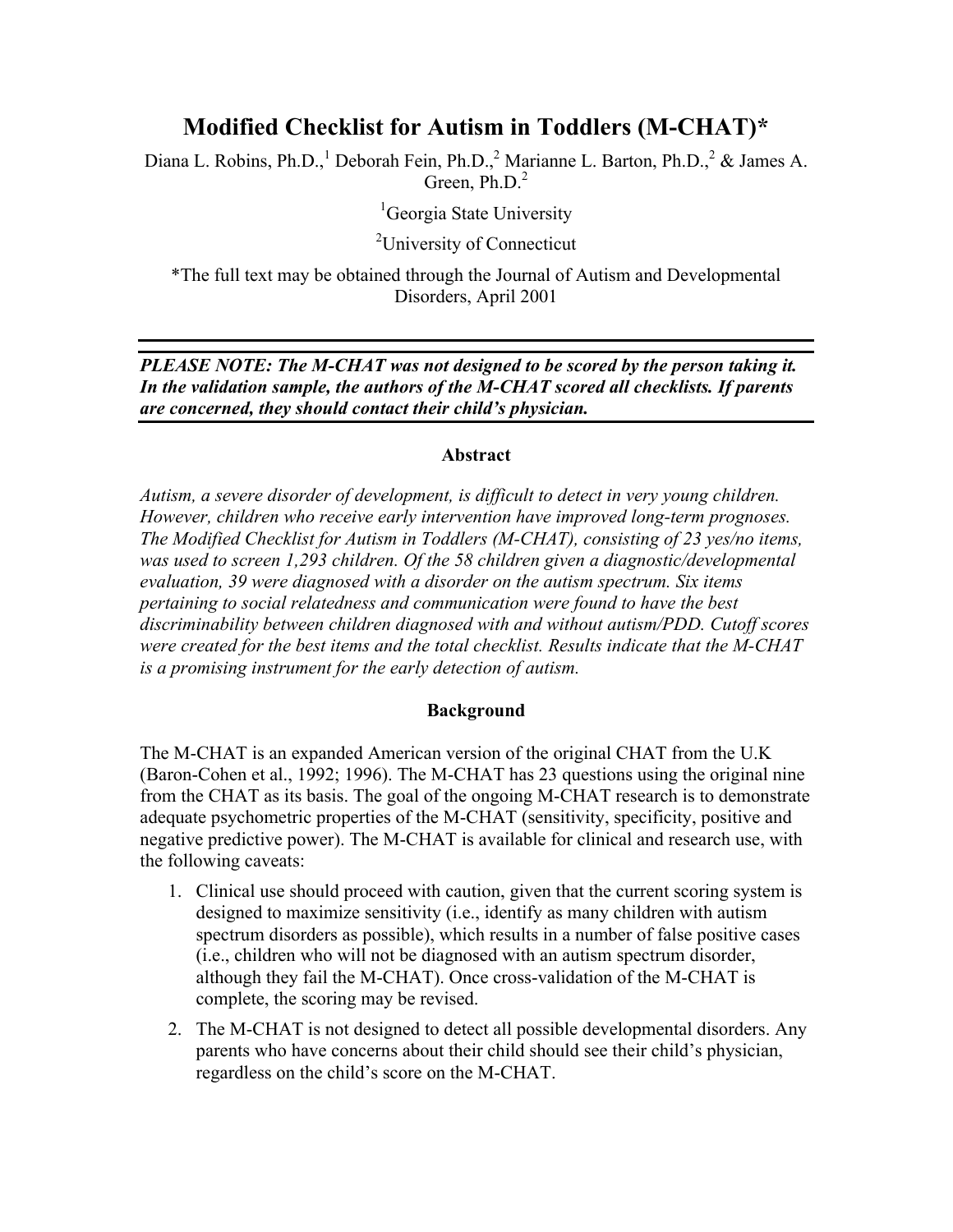# Modified Checklist for Autism in Toddlers (M-CHAT)\*

Diana L. Robins, Ph.D.,<sup>1</sup> Deborah Fein, Ph.D.,<sup>2</sup> Marianne L. Barton, Ph.D.,<sup>2</sup> & James A. Green, Ph.D.<sup>2</sup>

<sup>1</sup>Georgia State University

<sup>2</sup>University of Connecticut

\*The full text may be obtained through the Journal of Autism and Developmental Disorders, April 2001

## *PLEASE NOTE: The M-CHAT was not designed to be scored by the person taking it. In the validation sample, the authors of the M-CHAT scored all checklists. If parents are concerned, they should contact their child's physician.*

### Abstract

*Autism, a severe disorder of development, is difficult to detect in very young children. However, children who receive early intervention have improved long-term prognoses. The Modified Checklist for Autism in Toddlers (M-CHAT), consisting of 23 yes/no items, was used to screen 1,293 children. Of the 58 children given a diagnostic/developmental evaluation, 39 were diagnosed with a disorder on the autism spectrum. Six items pertaining to social relatedness and communication were found to have the best discriminability between children diagnosed with and without autism/PDD. Cutoff scores were created for the best items and the total checklist. Results indicate that the M-CHAT is a promising instrument for the early detection of autism.*

#### Background

The M-CHAT is an expanded American version of the original CHAT from the U.K (Baron-Cohen et al., 1992; 1996). The M-CHAT has 23 questions using the original nine from the CHAT as its basis. The goal of the ongoing M-CHAT research is to demonstrate adequate psychometric properties of the M-CHAT (sensitivity, specificity, positive and negative predictive power). The M-CHAT is available for clinical and research use, with the following caveats:

- 1. Clinical use should proceed with caution, given that the current scoring system is designed to maximize sensitivity (i.e., identify as many children with autism spectrum disorders as possible), which results in a number of false positive cases (i.e., children who will not be diagnosed with an autism spectrum disorder, although they fail the M-CHAT). Once cross-validation of the M-CHAT is complete, the scoring may be revised.
- 2. The M-CHAT is not designed to detect all possible developmental disorders. Any parents who have concerns about their child should see their child's physician, regardless on the child's score on the M-CHAT.